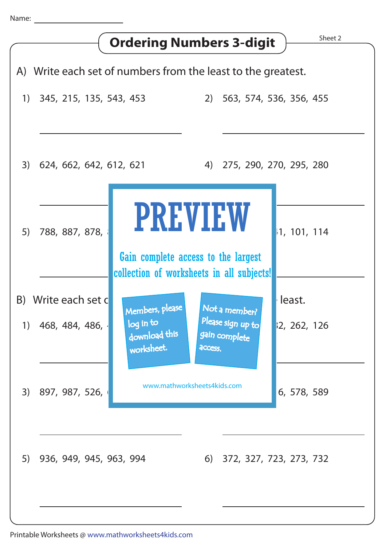